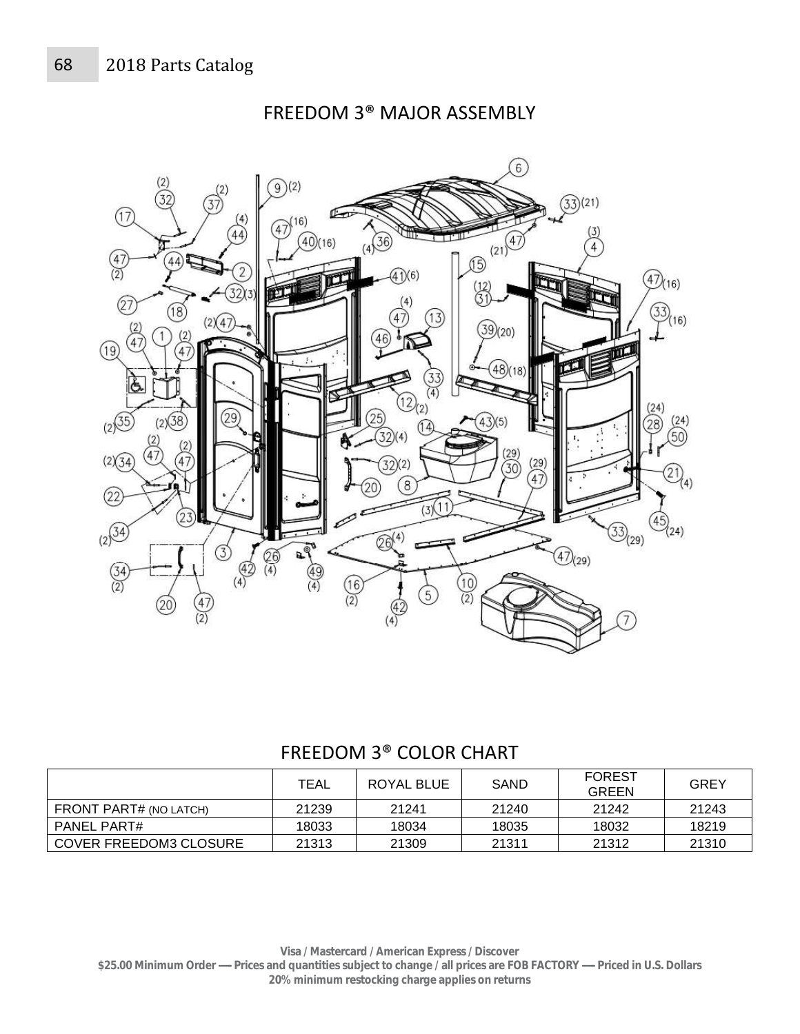$\widetilde{(2)}$ 

 $\widehat{6}$  $\overline{37}^{(2)}$  $(9)(2)$ (2)  $(33)(21)$  $(17)$  $\left(4\right)$  $(16)$  $(21)^{(4)}$  $47$  $\widehat{44}$  $(40)(16)$  $(36)$  $\overline{4}$  $\overline{\begin{array}{c} (4) \\ (2) \end{array}}$ 44  $(42)$ (16)  $\eta(6)$ 27  $(18)$  $16)$  $\chi_{47}$  $(2)$  $(39)(20)$  $(4)$  $(19)$ Ğ  $\bigodot_{(2)}$  $(24)$  $(2)35$ 29  $(2)(38)$  $(24)$ 28 14  $\mathbf{4}$ 50  $(2)$  $(2)(34)$  $\left( 4\right)$  $(29)$ 12  $(2)_{(4)}$  $\overrightarrow{47}$  $\overline{8}$  $\widehat{\left(22\right)}$  $(2)$ <sup>34</sup>  $(24)$  $\widehat{\mathbb{C}\mathbb{S}}^{(4)}$  $(29)$  $(47)_{(29)}$ 3 p,  $\bigotimes_{(4)}$  $\frac{4}{2}$  $\frac{\binom{34}{2}}{2}$  $\frac{49}{(4)}$  $\frac{(16)}{(2)}$  $(10)$ 5  $\widetilde{2}$ 47

FREEDOM 3® MAJOR ASSEMBLY

## FREEDOM 3® COLOR CHART

|                               | TEAL  | ROYAL BLUE | <b>SAND</b> | <b>FOREST</b><br><b>GREEN</b> | GREY  |
|-------------------------------|-------|------------|-------------|-------------------------------|-------|
| FRONT PART# (NO LATCH)        | 21239 | 21241      | 21240       | 21242                         | 21243 |
| PANEL PART#                   | 18033 | 18034      | 18035       | 18032                         | 18219 |
| <b>COVER FREEDOM3 CLOSURE</b> | 21313 | 21309      | 21311       | 21312                         | 21310 |

**Visa / Mastercard / American Express / Discover \$25.00 Minimum Order ----- Prices and quantities subject to change / all prices are FOB FACTORY ----- Priced in U.S. Dollars 20% minimum restocking charge applies on returns**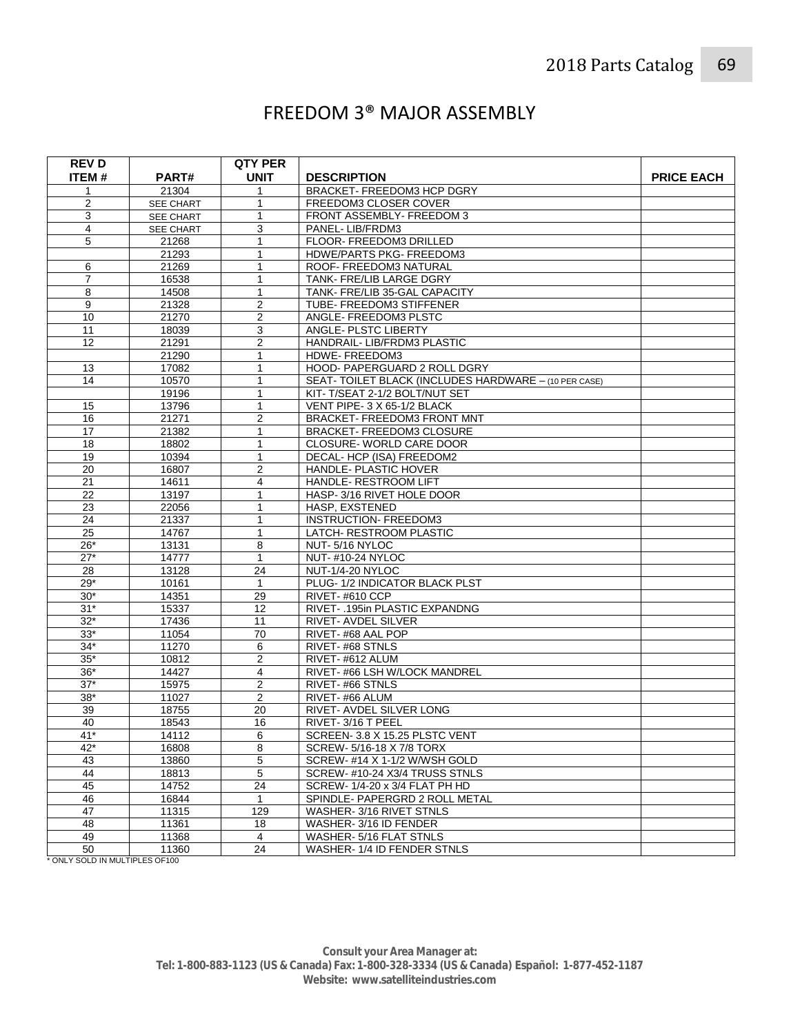## FREEDOM 3® MAJOR ASSEMBLY

| <b>REVD</b>    |                  | <b>QTY PER</b>          |                                                            |                   |
|----------------|------------------|-------------------------|------------------------------------------------------------|-------------------|
| ITEM#          | PART#            | <b>UNIT</b>             | <b>DESCRIPTION</b>                                         | <b>PRICE EACH</b> |
| $\mathbf{1}$   | 21304            | 1                       | BRACKET- FREEDOM3 HCP DGRY                                 |                   |
| $\overline{c}$ | <b>SEE CHART</b> | 1                       | FREEDOM3 CLOSER COVER                                      |                   |
| 3              | SEE CHART        | 1                       | FRONT ASSEMBLY- FREEDOM 3                                  |                   |
| $\overline{4}$ | SEE CHART        | 3                       | PANEL-LIB/FRDM3                                            |                   |
| 5              | 21268            | 1                       | FLOOR- FREEDOM3 DRILLED                                    |                   |
|                | 21293            | $\mathbf{1}$            | HDWE/PARTS PKG- FREEDOM3                                   |                   |
| 6              | 21269            | 1                       | ROOF- FREEDOM3 NATURAL                                     |                   |
| $\overline{7}$ | 16538            | 1                       | TANK- FRE/LIB LARGE DGRY                                   |                   |
| 8              | 14508            | $\mathbf{1}$            | TANK- FRE/LIB 35-GAL CAPACITY                              |                   |
| 9              | 21328            | $\overline{\mathbf{c}}$ | TUBE-FREEDOM3 STIFFENER                                    |                   |
| 10             | 21270            | $\overline{2}$          | ANGLE- FREEDOM3 PLSTC                                      |                   |
| 11             | 18039            | 3                       | ANGLE- PLSTC LIBERTY                                       |                   |
| 12             | 21291            | 2                       | HANDRAIL- LIB/FRDM3 PLASTIC                                |                   |
|                | 21290            | $\mathbf{1}$            | HDWE-FREEDOM3                                              |                   |
| 13             | 17082            | 1                       | HOOD- PAPERGUARD 2 ROLL DGRY                               |                   |
| 14             | 10570            | $\mathbf{1}$            | SEAT- TOILET BLACK (INCLUDES HARDWARE - (10 PER CASE)      |                   |
|                | 19196            | $\mathbf{1}$            | KIT-T/SEAT 2-1/2 BOLT/NUT SET                              |                   |
| 15             | 13796            | 1                       | VENT PIPE-3 X 65-1/2 BLACK                                 |                   |
| 16             | 21271            | $\overline{2}$          | BRACKET- FREEDOM3 FRONT MNT                                |                   |
| 17             | 21382            | 1                       | <b>BRACKET-FREEDOM3 CLOSURE</b>                            |                   |
| 18             | 18802            | 1                       | CLOSURE-WORLD CARE DOOR                                    |                   |
| 19             | 10394            | 1                       | DECAL- HCP (ISA) FREEDOM2                                  |                   |
| 20             | 16807            | 2                       | HANDLE- PLASTIC HOVER                                      |                   |
| 21             | 14611            | 4                       | HANDLE- RESTROOM LIFT                                      |                   |
| 22             | 13197            | 1                       | HASP-3/16 RIVET HOLE DOOR                                  |                   |
| 23             | 22056            | 1                       | HASP, EXSTENED                                             |                   |
| 24             | 21337            | $\mathbf{1}$            | <b>INSTRUCTION- FREEDOM3</b>                               |                   |
| 25             | 14767            | $\mathbf{1}$            | LATCH- RESTROOM PLASTIC                                    |                   |
| $26*$          | 13131            | 8                       | NUT-5/16 NYLOC                                             |                   |
| $27*$          | 14777            | $\mathbf{1}$            | <b>NUT-#10-24 NYLOC</b>                                    |                   |
| 28             | 13128            | 24                      | NUT-1/4-20 NYLOC                                           |                   |
| $29*$          | 10161            | $\mathbf{1}$            | PLUG- 1/2 INDICATOR BLACK PLST                             |                   |
| $30*$          | 14351            | 29                      | RIVET-#610 CCP                                             |                   |
| $31*$          | 15337            | 12                      | RIVET- .195in PLASTIC EXPANDNG                             |                   |
| $32*$          | 17436            | 11                      | RIVET- AVDEL SILVER                                        |                   |
| $33*$          | 11054            | 70                      | RIVET-#68 AAL POP                                          |                   |
| $34*$          | 11270            | 6                       | RIVET-#68 STNLS                                            |                   |
| $35*$          | 10812            | 2                       | RIVET-#612 ALUM                                            |                   |
| $36*$<br>$37*$ | 14427<br>15975   | 4                       | RIVET-#66 LSH W/LOCK MANDREL                               |                   |
|                |                  | $\overline{c}$          | RIVET-#66 STNLS                                            |                   |
| $38*$<br>39    | 11027<br>18755   | $\overline{2}$<br>20    | RIVET-#66 ALUM<br>RIVET- AVDEL SILVER LONG                 |                   |
|                |                  |                         |                                                            |                   |
| 40<br>$41*$    | 18543<br>14112   | 16<br>6                 | RIVET-3/16 T PEEL                                          |                   |
|                |                  | 8                       | SCREEN- 3.8 X 15.25 PLSTC VENT<br>SCREW-5/16-18 X 7/8 TORX |                   |
| 42*<br>43      | 16808<br>13860   | 5                       | SCREW-#14 X 1-1/2 W/WSH GOLD                               |                   |
| 44             | 18813            | $\sqrt{5}$              | SCREW-#10-24 X3/4 TRUSS STNLS                              |                   |
| 45             | 14752            | $\overline{24}$         | SCREW-1/4-20 x 3/4 FLAT PH HD                              |                   |
| 46             | 16844            | $\mathbf{1}$            | SPINDLE- PAPERGRD 2 ROLL METAL                             |                   |
| 47             | 11315            | 129                     | WASHER-3/16 RIVET STNLS                                    |                   |
| 48             | 11361            | 18                      | WASHER-3/16 ID FENDER                                      |                   |
| 49             | 11368            | 4                       | WASHER- 5/16 FLAT STNLS                                    |                   |
| 50             | 11360            | 24                      | WASHER-1/4 ID FENDER STNLS                                 |                   |
|                |                  |                         |                                                            |                   |

\* ONLY SOLD IN MULTIPLES OF100